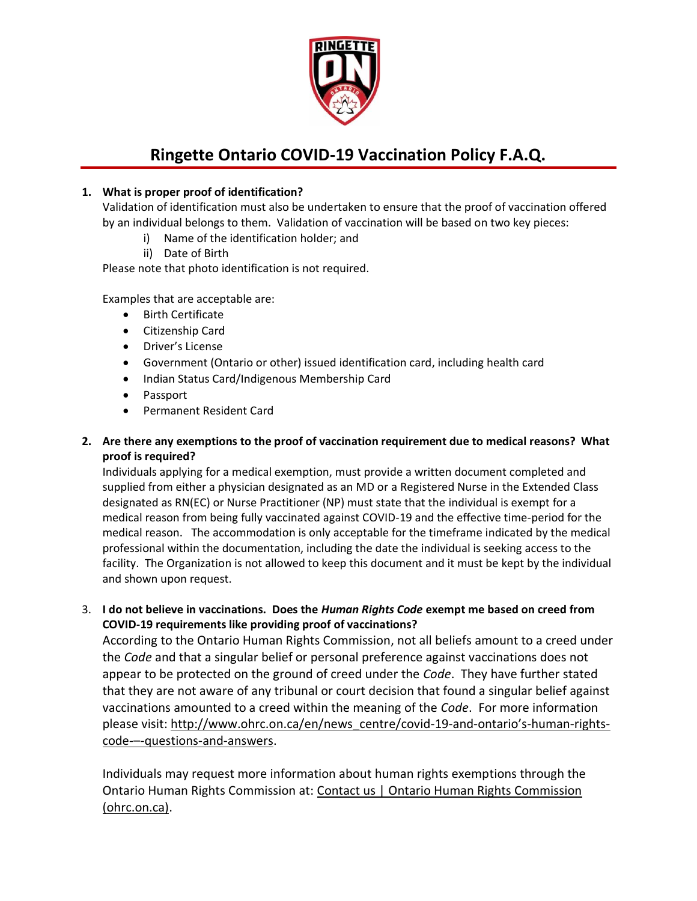

## **Ringette Ontario COVID-19 Vaccination Policy F.A.Q.**

## **1. What is proper proof of identification?**

Validation of identification must also be undertaken to ensure that the proof of vaccination offered by an individual belongs to them. Validation of vaccination will be based on two key pieces:

- i) Name of the identification holder; and
- ii) Date of Birth

Please note that photo identification is not required.

Examples that are acceptable are:

- Birth Certificate
- Citizenship Card
- Driver's License
- Government (Ontario or other) issued identification card, including health card
- Indian Status Card/Indigenous Membership Card
- Passport
- Permanent Resident Card

## **2. Are there any exemptions to the proof of vaccination requirement due to medical reasons? What proof is required?**

Individuals applying for a medical exemption, must provide a written document completed and supplied from either a physician designated as an MD or a Registered Nurse in the Extended Class designated as RN(EC) or Nurse Practitioner (NP) must state that the individual is exempt for a medical reason from being fully vaccinated against COVID-19 and the effective time-period for the medical reason. The accommodation is only acceptable for the timeframe indicated by the medical professional within the documentation, including the date the individual is seeking access to the facility. The Organization is not allowed to keep this document and it must be kept by the individual and shown upon request.

3. **I do not believe in vaccinations. Does the** *Human Rights Code* **exempt me based on creed from COVID-19 requirements like providing proof of vaccinations?**

According to the Ontario Human Rights Commission, not all beliefs amount to a creed under the *Code* and that a singular belief or personal preference against vaccinations does not appear to be protected on the ground of creed under the *Code*. They have further stated that they are not aware of any tribunal or court decision that found a singular belief against vaccinations amounted to a creed within the meaning of the *Code*. For more information please visit[: http://www.ohrc.on.ca/en/news\\_centre/covid-19-and-](http://www.ohrc.on.ca/en/news_centre/covid-19-and-ontario%E2%80%99s-human-rights-code-%E2%80%93-questions-and-answers)ontario's-human-rightscode-–[-questions-and-answers.](http://www.ohrc.on.ca/en/news_centre/covid-19-and-ontario%E2%80%99s-human-rights-code-%E2%80%93-questions-and-answers)

Individuals may request more information about human rights exemptions through the Ontario Human Rights Commission at: Contact us | Ontario Human Rights Commission [\(ohrc.on.ca\).](http://www.ohrc.on.ca/en/about-commission/contact-us)